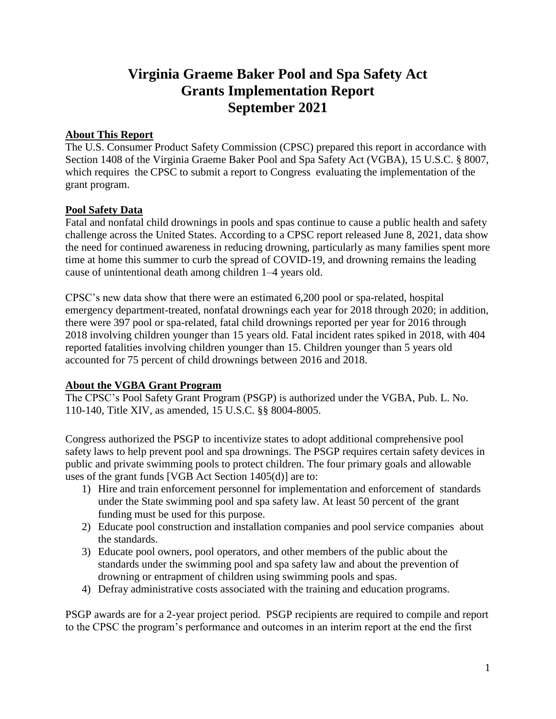# **Virginia Graeme Baker Pool and Spa Safety Act Grants Implementation Report September 2021**

#### **About This Report**

The U.S. Consumer Product Safety Commission (CPSC) prepared this report in accordance with Section 1408 of the Virginia Graeme Baker Pool and Spa Safety Act (VGBA), 15 U.S.C. § 8007, which requires the CPSC to submit a report to Congress evaluating the implementation of the grant program.

#### **Pool Safety Data**

Fatal and nonfatal child drownings in pools and spas continue to cause a public health and safety challenge across the United States. According to a CPSC report released June 8, 2021, data show the need for continued awareness in reducing drowning, particularly as many families spent more time at home this summer to curb the spread of COVID-19, and drowning remains the leading cause of unintentional death among children 1–4 years old.

CPSC's new data show that there were an estimated 6,200 pool or spa-related, hospital emergency department-treated, nonfatal drownings each year for 2018 through 2020; in addition, there were 397 pool or spa-related, fatal child drownings reported per year for 2016 through 2018 involving children younger than 15 years old. Fatal incident rates spiked in 2018, with 404 reported fatalities involving children younger than 15. Children younger than 5 years old accounted for 75 percent of child drownings between 2016 and 2018.

## **About the VGBA Grant Program**

The CPSC's Pool Safety Grant Program (PSGP) is authorized under the VGBA, Pub. L. No. 110-140, Title XIV, as amended, 15 U.S.C. §§ 8004-8005.

Congress authorized the PSGP to incentivize states to adopt additional comprehensive pool safety laws to help prevent pool and spa drownings. The PSGP requires certain safety devices in public and private swimming pools to protect children. The four primary goals and allowable uses of the grant funds [VGB Act Section 1405(d)] are to:

- 1) Hire and train enforcement personnel for implementation and enforcement of standards under the State swimming pool and spa safety law. At least 50 percent of the grant funding must be used for this purpose.
- 2) Educate pool construction and installation companies and pool service companies about the standards.
- 3) Educate pool owners, pool operators, and other members of the public about the standards under the swimming pool and spa safety law and about the prevention of drowning or entrapment of children using swimming pools and spas.
- 4) Defray administrative costs associated with the training and education programs.

PSGP awards are for a 2-year project period. PSGP recipients are required to compile and report to the CPSC the program's performance and outcomes in an interim report at the end the first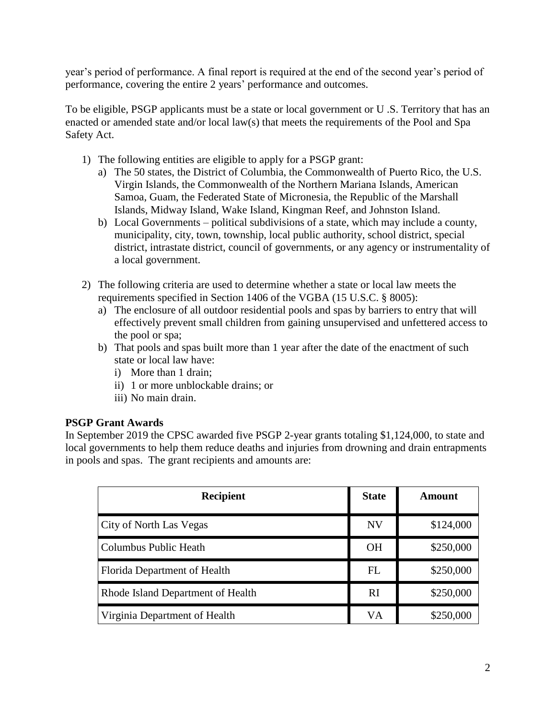year's period of performance. A final report is required at the end of the second year's period of performance, covering the entire 2 years' performance and outcomes.

To be eligible, PSGP applicants must be a state or local government or U .S. Territory that has an enacted or amended state and/or local law(s) that meets the requirements of the Pool and Spa Safety Act.

- 1) The following entities are eligible to apply for a PSGP grant:
	- a) The 50 states, the District of Columbia, the Commonwealth of Puerto Rico, the U.S. Virgin Islands, the Commonwealth of the Northern Mariana Islands, American Samoa, Guam, the Federated State of Micronesia, the Republic of the Marshall Islands, Midway Island, Wake Island, Kingman Reef, and Johnston Island.
	- b) Local Governments political subdivisions of a state, which may include a county, municipality, city, town, township, local public authority, school district, special district, intrastate district, council of governments, or any agency or instrumentality of a local government.
- 2) The following criteria are used to determine whether a state or local law meets the requirements specified in Section 1406 of the VGBA (15 U.S.C. § 8005):
	- a) The enclosure of all outdoor residential pools and spas by barriers to entry that will effectively prevent small children from gaining unsupervised and unfettered access to the pool or spa;
	- b) That pools and spas built more than 1 year after the date of the enactment of such state or local law have:
		- i) More than 1 drain;
		- ii) 1 or more unblockable drains; or
		- iii) No main drain.

## **PSGP Grant Awards**

In September 2019 the CPSC awarded five PSGP 2-year grants totaling \$1,124,000, to state and local governments to help them reduce deaths and injuries from drowning and drain entrapments in pools and spas. The grant recipients and amounts are:

| <b>Recipient</b>                  | <b>State</b> | Amount    |
|-----------------------------------|--------------|-----------|
| City of North Las Vegas           | <b>NV</b>    | \$124,000 |
| Columbus Public Heath             | <b>OH</b>    | \$250,000 |
| Florida Department of Health      | FL           | \$250,000 |
| Rhode Island Department of Health | RI           | \$250,000 |
| Virginia Department of Health     | VA           | \$250,000 |